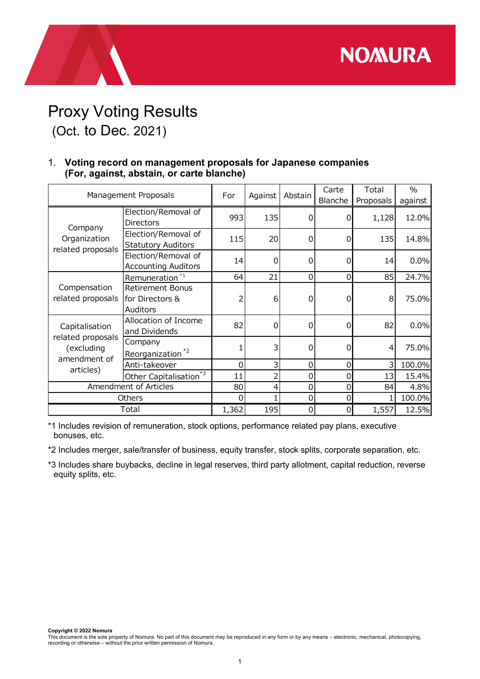## Proxy Voting Results (Oct. to Dec. 2021)

## 1. Voting record on management proposals for Japanese companies (For, against, abstain, or carte blanche)

|                                                   |                                                                                                                                             |                  | <b>NOMURA</b>           |                 |          |                              |                          |
|---------------------------------------------------|---------------------------------------------------------------------------------------------------------------------------------------------|------------------|-------------------------|-----------------|----------|------------------------------|--------------------------|
| (Oct. to Dec. 2021)                               | <b>Proxy Voting Results</b><br>1. Voting record on management proposals for Japanese companies<br>(For, against, abstain, or carte blanche) |                  |                         |                 |          |                              |                          |
| Management Proposals                              |                                                                                                                                             | For              |                         | Against Abstain | Carte    | Total<br>Blanche   Proposals | $\frac{0}{0}$<br>against |
|                                                   | Election/Removal of<br><b>Directors</b>                                                                                                     | 993              | 135                     | 0               | 0        | 1,128                        | 12.0%                    |
| Company<br>Organization<br>related proposals      | Election/Removal of<br><b>Statutory Auditors</b>                                                                                            | 115              | 20 <sub>l</sub>         | 0               | $\Omega$ | 135                          | 14.8%                    |
|                                                   | Election/Removal of<br><b>Accounting Auditors</b>                                                                                           | 14               | $\overline{0}$          | 0               | $\Omega$ | 14                           | 0.0%                     |
| Compensation<br>related proposals                 | Remuneration $\sqrt[3]{1}$                                                                                                                  | 64               | 21                      | 0               | $\Omega$ | 85                           | 24.7%                    |
|                                                   | <b>Retirement Bonus</b><br>for Directors &<br>Auditors                                                                                      | 2                | $6 \mid$                | 0               | 0        | 8                            | 75.0%                    |
| Capitalisation<br>related proposals<br>(excluding | Allocation of Income<br>and Dividends                                                                                                       | 82               | $\overline{0}$          | 0               | $\Omega$ | 82                           | 0.0%                     |
|                                                   | Company<br>Reorganization <sup>*2</sup>                                                                                                     | 1                | $\overline{\mathsf{3}}$ | 0               | $\Omega$ | 4                            | 75.0%                    |
|                                                   | Anti-takeover                                                                                                                               | $\boldsymbol{0}$ | $\overline{\mathsf{3}}$ | 0               | $\Omega$ | 3 <sup>1</sup>               | 100.0%                   |
| amendment of                                      |                                                                                                                                             | 11               | $\overline{2}$          | 0               |          | 13                           | 15.4%                    |
| articles)                                         |                                                                                                                                             |                  |                         |                 |          |                              |                          |
|                                                   | Other Capitalisation <sup>*3</sup><br>Amendment of Articles                                                                                 | 80               | $\overline{4}$          | 0               | 0        | 84                           | 4.8%                     |
|                                                   | Others                                                                                                                                      | $\Omega$         |                         | 0               | 0        |                              | 100.0%                   |

\*3 Includes share buybacks, decline in legal reserves, third party allotment, capital reduction, reverse equity splits, etc.

Copyright © 2022 Nomura

This document is the sole property of Nomura. No part of this document may be reproduced in any form or by any means – electronic, mechanical, photocopying, recording or otherwise – without the prior written permission of Nomura.